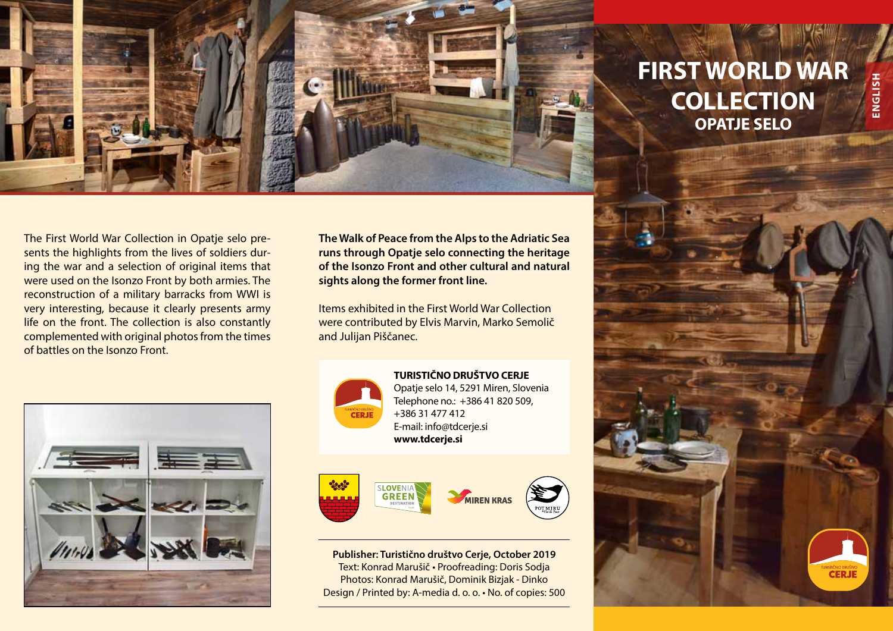

## **FIRST WORLD WAR COLLECTION OPATJE SELO**

The First World War Collection in Opatje selo presents the highlights from the lives of soldiers during the war and a selection of original items that were used on the Isonzo Front by both armies. The reconstruction of a military barracks from WWI is very interesting, because it clearly presents army life on the front. The collection is also constantly complemented with original photos from the times of battles on the Isonzo Front.



**The Walk of Peace from the Alps to the Adriatic Sea runs through Opatje selo connecting the heritage of the Isonzo Front and other cultural and natural sights along the former front line.**

Items exhibited in the First World War Collection were contributed by Elvis Marvin, Marko Semolič and Julijan Piščanec.



**TURISTIČNO DRUŠTVO CERJE** Opatje selo 14, 5291 Miren, Slovenia Telephone no.: +386 41 820 509, +386 31 477 412 E-mail: info@tdcerje.si **www.tdcerje.si**



**Publisher: Turistično društvo Cerje, October 2019** Text: Konrad Marušič • Proofreading: Doris Sodja Photos: Konrad Marušič, Dominik Bizjak - Dinko Design / Printed by: A-media d. o. o. • No. of copies: 500